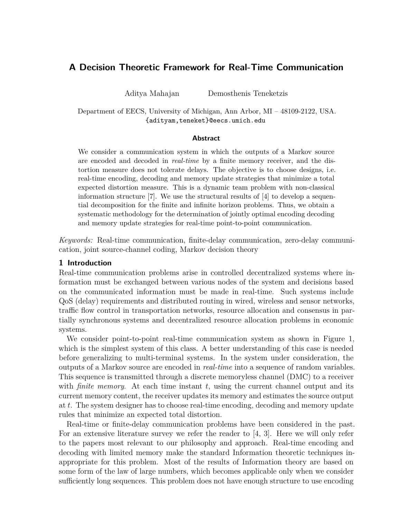# **A Decision Theoretic Framework for Real-Time Communication**

Aditya Mahajan Demosthenis Teneketzis

Department of EECS, University of Michigan, Ann Arbor, MI – 48109-2122, USA. {adityam,teneket}@eecs.umich.edu

#### **Abstract**

We consider a communication system in which the outputs of a Markov source are encoded and decoded in *real-time* by a finite memory receiver, and the distortion measure does not tolerate delays. The objective is to choose designs, i.e. real-time encoding, decoding and memory update strategies that minimize a total expected distortion measure. This is a dynamic team problem with non-classical information structure  $[7]$ . We use the structural results of  $[4]$  to develop a sequential decomposition for the finite and infinite horizon problems. Thus, we obtain a systematic methodology for the determination of jointly optimal encoding decoding and memory update strategies for real-time point-to-point communication.

*Keywords:* Real-time communication, finite-delay communication, zero-delay communication, joint source-channel coding, Markov decision theory

### **1 Introduction**

Real-time communication problems arise in controlled decentralized systems where information must be exchanged between various nodes of the system and decisions based on the communicated information must be made in real-time. Such systems include QoS (delay) requirements and distributed routing in wired, wireless and sensor networks, traffic flow control in transportation networks, resource allocation and consensus in partially synchronous systems and decentralized resource allocation problems in economic systems.

We consider point-to-point real-time communication system as shown in Figure [1,](#page-1-0) which is the simplest system of this class. A better understanding of this case is needed before generalizing to multi-terminal systems. In the system under consideration, the outputs of a Markov source are encoded in *real-time* into a sequence of random variables. This sequence is transmitted through a discrete memoryless channel (DMC) to a receiver with *finite memory*. At each time instant  $t$ , using the current channel output and its current memory content, the receiver updates its memory and estimates the source output at t. The system designer has to choose real-time encoding, decoding and memory update rules that minimize an expected total distortion.

Real-time or finite-delay communication problems have been considered in the past. For an extensive literature survey we refer the reader to [\[4,](#page-9-1) [3\]](#page-9-2). Here we will only refer to the papers most relevant to our philosophy and approach. Real-time encoding and decoding with limited memory make the standard Information theoretic techniques inappropriate for this problem. Most of the results of Information theory are based on some form of the law of large numbers, which becomes applicable only when we consider sufficiently long sequences. This problem does not have enough structure to use encoding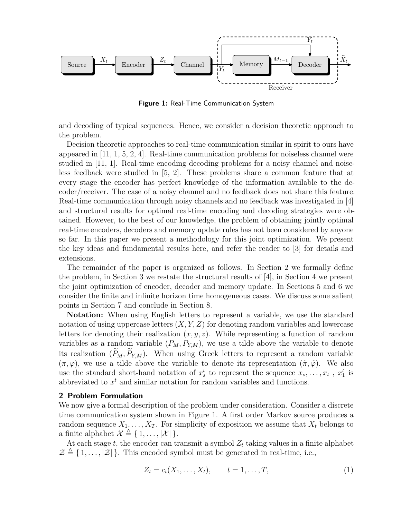

<span id="page-1-0"></span>**Figure 1:** Real-Time Communication System

and decoding of typical sequences. Hence, we consider a decision theoretic approach to the problem.

Decision theoretic approaches to real-time communication similar in spirit to ours have appeared in [\[11,](#page-9-3) [1,](#page-9-4) [5,](#page-9-5) [2,](#page-9-6) [4\]](#page-9-1). Real-time communication problems for noiseless channel were studied in [\[11,](#page-9-3) [1\]](#page-9-4). Real-time encoding decoding problems for a noisy channel and noiseless feedback were studied in [\[5,](#page-9-5) [2\]](#page-9-6). These problems share a common feature that at every stage the encoder has perfect knowledge of the information available to the decoder/receiver. The case of a noisy channel and no feedback does not share this feature. Real-time communication through noisy channels and no feedback was investigated in [\[4\]](#page-9-1) and structural results for optimal real-time encoding and decoding strategies were obtained. However, to the best of our knowledge, the problem of obtaining jointly optimal real-time encoders, decoders and memory update rules has not been considered by anyone so far. In this paper we present a methodology for this joint optimization. We present the key ideas and fundamental results here, and refer the reader to [\[3\]](#page-9-2) for details and extensions.

The remainder of the paper is organized as follows. In Section [2](#page-1-1) we formally define the problem, in Section [3](#page-3-0) we restate the structural results of [\[4\]](#page-9-1), in Section [4](#page-4-0) we present the joint optimization of encoder, decoder and memory update. In Sections [5](#page-7-0) and [6](#page-8-0) we consider the finite and infinite horizon time homogeneous cases. We discuss some salient points in Section [7](#page-9-7) and conclude in Section [8.](#page-9-8)

**Notation:** When using English letters to represent a variable, we use the standard notation of using uppercase letters  $(X, Y, Z)$  for denoting random variables and lowercase letters for denoting their realization  $(x, y, z)$ . While representing a function of random variables as a random variable  $(P_M, P_{Y,M})$ , we use a tilde above the variable to denote its realization  $(\widetilde{P}_M, \widetilde{P}_{Y,M})$ . When using Greek letters to represent a random variable  $(\pi, \varphi)$ , we use a tilde above the variable to denote its representation  $(\tilde{\pi}, \tilde{\varphi})$ . We also use the standard short-hand notation of  $x_s^t$  to represent the sequence  $x_s, \ldots, x_t$ ,  $x_1^t$  is abbreviated to  $x<sup>t</sup>$  and similar notation for random variables and functions.

#### <span id="page-1-1"></span>**2 Problem Formulation**

We now give a formal description of the problem under consideration. Consider a discrete time communication system shown in Figure [1.](#page-1-0) A first order Markov source produces a random sequence  $X_1, \ldots, X_T$ . For simplicity of exposition we assume that  $X_t$  belongs to a finite alphabet  $\mathcal{X} \triangleq \{ 1, \ldots, |\mathcal{X}| \}.$ 

At each stage t, the encoder can transmit a symbol  $Z_t$  taking values in a finite alphabet  $\mathcal{Z} \triangleq \{1, \ldots, |\mathcal{Z}|\}\.$  This encoded symbol must be generated in real-time, i.e.,

$$
Z_t = c_t(X_1, ..., X_t), \t t = 1, ..., T,
$$
\t(1)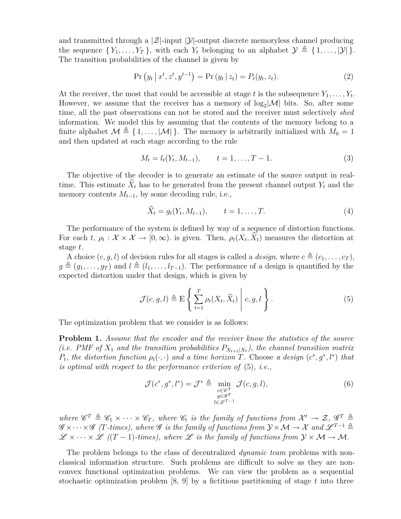and transmitted through a  $|\mathcal{Z}|$ -input  $|\mathcal{Y}|$ -output discrete memoryless channel producing the sequence  $\{Y_1, \ldots, Y_T\}$ , with each  $Y_t$  belonging to an alphabet  $\mathcal{Y} \triangleq \{1, \ldots, |\mathcal{Y}|\}$ . The transition probabilities of the channel is given by

$$
Pr(y_t | x^t, z^t, y^{t-1}) = Pr(y_t | z_t) = P_t(y_t, z_t).
$$
\n(2)

At the receiver, the most that could be accessible at stage t is the subsequence  $Y_1, \ldots, Y_t$ . However, we assume that the receiver has a memory of  $log_2|M|$  bits. So, after some time, all the past observations can not be stored and the receiver must selectively *shed* information. We model this by assuming that the contents of the memory belong to a finite alphabet  $\mathcal{M} \triangleq \{1, \ldots, |\mathcal{M}|\}\$ . The memory is arbitrarily initialized with  $M_0 = 1$ and then updated at each stage according to the rule

$$
M_t = l_t(Y_t, M_{t-1}), \qquad t = 1, \dots, T-1.
$$
\n(3)

The objective of the decoder is to generate an estimate of the source output in realtime. This estimate  $\widehat{X}_t$  has to be generated from the present channel output  $Y_t$  and the memory contents  $M_{t-1}$ , by some decoding rule, i.e.,

$$
\hat{X}_t = g_t(Y_t, M_{t-1}), \qquad t = 1, \dots, T.
$$
\n(4)

The performance of the system is defined by way of a sequence of distortion functions. For each t,  $\rho_t : \mathcal{X} \times \mathcal{X} \to [0, \infty)$ . is given. Then,  $\rho_t(X_t, X_t)$  measures the distortion at stage t.

A choice  $(c, g, l)$  of decision rules for all stages is called a *design*, where  $c \triangleq (c_1, \ldots, c_T)$ ,  $g \triangleq (g_1, \ldots, g_T)$  and  $l \triangleq (l_1, \ldots, l_{T-1})$ . The performance of a design is quantified by the expected distortion under that design, which is given by

<span id="page-2-0"></span>
$$
\mathcal{J}(c,g,l) \triangleq \mathbb{E}\left\{\left.\sum_{t=1}^T \rho_t(X_t,\widehat{X}_t)\right| c,g,l\right\}.
$$
 (5)

<span id="page-2-1"></span>The optimization problem that we consider is as follows:

**Problem 1.** *Assume that the encoder and the receiver know the statistics of the source (i.e. PMF of*  $X_1$  *and the transition probabilities*  $P_{X_{t+1}|X_t}$ *), the channel transition matrix*  $P_t$ , the distortion function  $\rho_t(\cdot, \cdot)$  and a time horizon T. Choose a design  $(c^*, g^*, l^*)$  that *is optimal with respect to the performance criterion of* [\(5\)](#page-2-0)*, i.e.,*

$$
\mathcal{J}(c^*, g^*, l^*) = \mathcal{J}^* \triangleq \min_{\substack{c \in \mathscr{C}^T \\ g \in \mathscr{G}^T \\ l \in \mathscr{L}^{T-1}}} \mathcal{J}(c, g, l), \tag{6}
$$

where  $\mathscr{C}^T \triangleq \mathscr{C}_1 \times \cdots \times \mathscr{C}_T$ , where  $\mathscr{C}_t$  is the family of functions from  $\mathcal{X}^t \to \mathcal{Z}$ ,  $\mathscr{G}^T \triangleq$  $\mathscr{G} \times \cdots \times \mathscr{G}$  *(T-times), where*  $\mathscr{G}$  *is the family of functions from*  $\mathcal{Y} \times \mathcal{M} \to \mathcal{X}$  *and*  $\mathscr{L}^{T-1} \triangleq$  $\mathscr{L} \times \cdots \times \mathscr{L}$  ((T – 1)-times), where  $\mathscr{L}$  is the family of functions from  $\mathcal{Y} \times \mathcal{M} \rightarrow \mathcal{M}$ .

The problem belongs to the class of decentralized *dynamic team* problems with nonclassical information structure. Such problems are difficult to solve as they are nonconvex functional optimization problems. We can view the problem as a sequential stochastic optimization problem  $[8, 9]$  $[8, 9]$  by a fictitious partitioning of stage t into three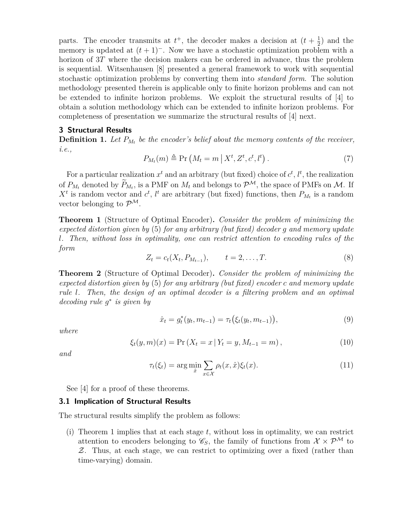parts. The encoder transmits at  $t^+$ , the decoder makes a decision at  $(t+\frac{1}{2})$  $(\frac{1}{2})$  and the memory is updated at  $(t + 1)^{-}$ . Now we have a stochastic optimization problem with a horizon of 3T where the decision makers can be ordered in advance, thus the problem is sequential. Witsenhausen [\[8\]](#page-9-9) presented a general framework to work with sequential stochastic optimization problems by converting them into *standard form*. The solution methodology presented therein is applicable only to finite horizon problems and can not be extended to infinite horizon problems. We exploit the structural results of [\[4\]](#page-9-1) to obtain a solution methodology which can be extended to infinite horizon problems. For completeness of presentation we summarize the structural results of [\[4\]](#page-9-1) next.

### <span id="page-3-0"></span>**3 Structural Results**

**Definition 1.** Let  $P_{M_t}$  be the encoder's belief about the memory contents of the receiver, *i.e.,*

$$
P_{M_t}(m) \triangleq \Pr\left(M_t = m \,|\, X^t, Z^t, c^t, l^t\right). \tag{7}
$$

For a particular realization  $x^t$  and an arbitrary (but fixed) choice of  $c^t$ ,  $l^t$ , the realization of  $P_{M_t}$  denoted by  $P_{M_t}$ , is a PMF on  $M_t$  and belongs to  $\mathcal{P}^{\mathcal{M}}$ , the space of PMFs on  $\mathcal{M}$ . If  $X<sup>t</sup>$  is random vector and  $c<sup>t</sup>$ ,  $l<sup>t</sup>$  are arbitrary (but fixed) functions, then  $P_{M_t}$  is a random vector belonging to  $\mathcal{P}^{\mathcal{M}}$ .

<span id="page-3-1"></span>**Theorem 1** (Structure of Optimal Encoder)**.** *Consider the problem of minimizing the expected distortion given by* [\(5\)](#page-2-0) *for any arbitrary (but fixed) decoder* g *and memory update* l*. Then, without loss in optimality, one can restrict attention to encoding rules of the form*

$$
Z_t = c_t(X_t, P_{M_{t-1}}), \qquad t = 2, \dots, T.
$$
 (8)

<span id="page-3-2"></span>**Theorem 2** (Structure of Optimal Decoder)**.** *Consider the problem of minimizing the expected distortion given by* [\(5\)](#page-2-0) *for any arbitrary (but fixed) encoder* c *and memory update rule* l*. Then, the design of an optimal decoder is a filtering problem and an optimal decoding rule* g ∗ *is given by*

$$
\hat{x}_t = g_t^*(y_t, m_{t-1}) = \tau_t(\xi_t(y_t, m_{t-1})),
$$
\n(9)

*where*

$$
\xi_t(y,m)(x) = \Pr\left(X_t = x \,|\, Y_t = y, M_{t-1} = m\right),\tag{10}
$$

*and*

$$
\tau_t(\xi_t) = \arg\min_{\hat{x}} \sum_{x \in \mathcal{X}} \rho_t(x, \hat{x}) \xi_t(x). \tag{11}
$$

See [\[4\]](#page-9-1) for a proof of these theorems.

#### **3.1 Implication of Structural Results**

The structural results simplify the problem as follows:

(i) Theorem [1](#page-3-1) implies that at each stage  $t$ , without loss in optimality, we can restrict attention to encoders belonging to  $\mathscr{C}_S$ , the family of functions from  $\mathcal{X} \times \mathcal{P}^{\mathcal{M}}$  to Z. Thus, at each stage, we can restrict to optimizing over a fixed (rather than time-varying) domain.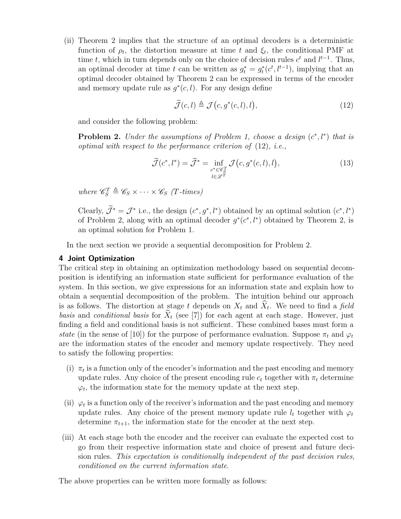(ii) Theorem [2](#page-3-2) implies that the structure of an optimal decoders is a deterministic function of  $\rho_t$ , the distortion measure at time t and  $\xi_t$ , the conditional PMF at time t, which in turn depends only on the choice of decision rules  $c<sup>t</sup>$  and  $l<sup>t-1</sup>$ . Thus, an optimal decoder at time t can be written as  $g_t^* = g_t^*(c^t, l^{t-1})$ , implying that an optimal decoder obtained by Theorem [2](#page-3-2) can be expressed in terms of the encoder and memory update rule as  $g^*(c, l)$ . For any design define

<span id="page-4-1"></span>
$$
\widetilde{\mathcal{J}}(c,l) \triangleq \mathcal{J}(c,g^*(c,l),l),\tag{12}
$$

<span id="page-4-2"></span>and consider the following problem:

**Problem 2.** *Under the assumptions of Problem [1,](#page-2-1) choose a design*  $(c^*, l^*)$  *that is optimal with respect to the performance criterion of* [\(12\)](#page-4-1)*, i.e.,*

$$
\widetilde{\mathcal{J}}(c^*, l^*) = \widetilde{\mathcal{J}}^* = \inf_{\substack{c^* \in \mathscr{C}_S^T \\ l \in \mathscr{L}^T}} \mathcal{J}\big(c, g^*(c, l), l\big),\tag{13}
$$

 $where \mathcal{C}_S^T \triangleq \mathcal{C}_S \times \cdots \times \mathcal{C}_S$  (T-times)

Clearly,  $\mathcal{J}^* = \mathcal{J}^*$  i.e., the design  $(c^*, g^*, l^*)$  obtained by an optimal solution  $(c^*, l^*)$ of Problem [2,](#page-3-2) along with an optimal decoder  $g^*(c^*, l^*)$  obtained by Theorem 2, is an optimal solution for Problem [1.](#page-2-1)

In the next section we provide a sequential decomposition for Problem [2.](#page-4-2)

#### <span id="page-4-0"></span>**4 Joint Optimization**

The critical step in obtaining an optimization methodology based on sequential decomposition is identifying an information state sufficient for performance evaluation of the system. In this section, we give expressions for an information state and explain how to obtain a sequential decomposition of the problem. The intuition behind our approach is as follows. The distortion at stage t depends on  $X_t$  and  $X_t$ . We need to find a *field basis* and *conditional basis* for  $\dot{X}_t$  (see [\[7\]](#page-9-0)) for each agent at each stage. However, just finding a field and conditional basis is not sufficient. These combined bases must form a *state* (in the sense of [\[10\]](#page-9-11)) for the purpose of performance evaluation. Suppose  $\pi_t$  and  $\varphi_t$ are the information states of the encoder and memory update respectively. They need to satisfy the following properties:

- (i)  $\pi_t$  is a function only of the encoder's information and the past encoding and memory update rules. Any choice of the present encoding rule  $c_t$  together with  $\pi_t$  determine  $\varphi_t$ , the information state for the memory update at the next step.
- (ii)  $\varphi_t$  is a function only of the receiver's information and the past encoding and memory update rules. Any choice of the present memory update rule  $l_t$  together with  $\varphi_t$ determine  $\pi_{t+1}$ , the information state for the encoder at the next step.
- (iii) At each stage both the encoder and the receiver can evaluate the expected cost to go from their respective information state and choice of present and future decision rules. *This expectation is conditionally independent of the past decision rules, conditioned on the current information state*.

The above properties can be written more formally as follows: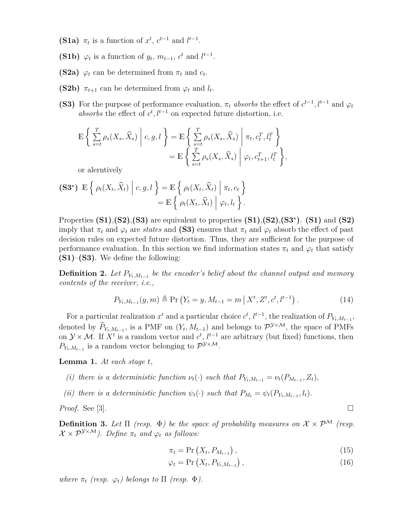- **(S1a)**  $\pi_t$  is a function of  $x^t$ ,  $c^{t-1}$  and  $l^{t-1}$ .
- **(S1b)**  $\varphi_t$  is a function of  $y_t$ ,  $m_{t-1}$ ,  $c^t$  and  $l^{t-1}$ .
- **(S2a)**  $\varphi_t$  can be determined from  $\pi_t$  and  $c_t$ .
- **(S2b)**  $\pi_{t+1}$  can be determined from  $\varphi_t$  and  $l_t$ .
- **(S3)** For the purpose of performance evaluation,  $\pi_t$  absorbs the effect of  $c^{t-1}$ ,  $l^{t-1}$  and  $\varphi_t$ absorbs the effect of  $c^t, l^{t-1}$  on expected future distortion, i.e.

$$
\mathbb{E}\left\{\sum_{s=t}^{T}\rho_{s}(X_{s},\widehat{X}_{s})\middle| c,g,l\right\} = \mathbb{E}\left\{\sum_{s=t}^{T}\rho_{s}(X_{s},\widehat{X}_{s})\middle| \pi_{t},c_{t}^{T},l_{t}^{T}\right\} \n= \mathbb{E}\left\{\sum_{s=t}^{T}\rho_{s}(X_{s},\widehat{X}_{s})\middle| \varphi_{t},c_{t+1}^{T},l_{t}^{T}\right\},\right\}
$$

or alerntively

$$
\begin{aligned} \textbf{(S3*)} \ \mathbb{E} \left\{ \left. \rho_t(X_t, \widehat{X}_t) \; \right| \, c, g, l \, \right\} &= \mathbb{E} \left\{ \left. \rho_t(X_t, \widehat{X}_t) \; \right| \, \pi_t, c_t \, \right\} \\ &= \mathbb{E} \left\{ \left. \rho_t(X_t, \widehat{X}_t) \; \right| \, \varphi_t, l_t \, \right\}. \end{aligned}
$$

Properties  $(S1)$ , $(S2)$ , $(S3)$  are equivalent to properties  $(S1)$ , $(S2)$ , $(S3<sup>*</sup>)$ .  $(S1)$  and  $(S2)$ imply that  $\pi_t$  and  $\varphi_t$  are *states* and **(S3)** ensures that  $\pi_t$  and  $\varphi_t$  absorb the effect of past decision rules on expected future distortion. Thus, they are sufficient for the purpose of performance evaluation. In this section we find information states  $\pi_t$  and  $\varphi_t$  that satisfy **(S1)**–**(S3)**. We define the following:

**Definition 2.** Let  $P_{Y_t, M_{t-1}}$  be the encoder's belief about the channel output and memory *contents of the receiver, i.e.,*

$$
P_{Y_t, M_{t-1}}(y, m) \triangleq \Pr(Y_t = y, M_{t-1} = m \mid X^t, Z^t, c^t, l^{t-1}).
$$
\n(14)

For a particular realization  $x^t$  and a particular choice  $c^t$ ,  $l^{t-1}$ , the realization of  $P_{Y_t,M_{t-1}}$ , denoted by  $P_{Y_t, M_{t-1}}$ , is a PMF on  $(Y_t, M_{t-1})$  and belongs to  $\mathcal{P}^{Y \times M}$ , the space of PMFs on  $\mathcal{Y} \times \mathcal{M}$ . If  $X^t$  is a random vector and  $c^t$ ,  $l^{t-1}$  are arbitrary (but fixed) functions, then  $P_{Y_t, M_{t-1}}$  is a random vector belonging to  $\mathcal{P}^{\mathcal{Y} \times \mathcal{M}}$ .

<span id="page-5-0"></span>**Lemma 1.** *At each stage* t*,*

- *(i) there is a deterministic function*  $\nu_t(\cdot)$  *such that*  $P_{Y_t, M_{t-1}} = \nu_t(P_{M_{t-1}}, Z_t)$ ,
- *(ii) there is a deterministic function*  $\psi_t(\cdot)$  *such that*  $P_{M_t} = \psi_t(P_{Y_t, M_{t-1}}, l_t)$ .

*Proof.* See [\[3\]](#page-9-2).

**Definition 3.** Let  $\Pi$  (resp.  $\Phi$ ) be the space of probability measures on  $\mathcal{X} \times \mathcal{P}^{\mathcal{M}}$  (resp.  $\mathcal{X} \times \mathcal{P}^{\mathcal{Y} \times \mathcal{M}}$ . Define  $\pi_t$  and  $\varphi_t$  as follows:

$$
\pi_t = \Pr\left(X_t, P_{M_{t-1}}\right),\tag{15}
$$

$$
\varphi_t = \Pr\left(X_t, P_{Y_t, M_{t-1}}\right),\tag{16}
$$

<span id="page-5-1"></span>*where*  $\pi_t$  *(resp.*  $\varphi_t$ *)* belongs to  $\Pi$  *(resp.*  $\Phi$ *).*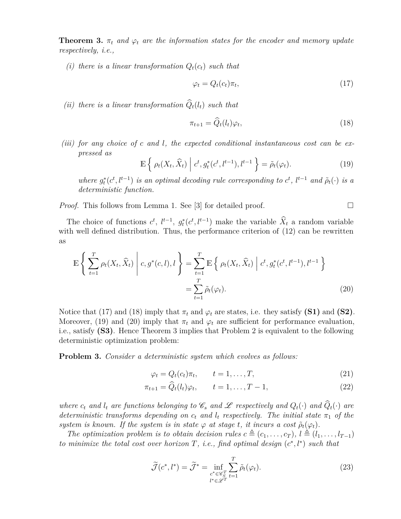**Theorem 3.**  $\pi_t$  *and*  $\varphi_t$  *are the information states for the encoder and memory update respectively, i.e.,*

*(i) there is a linear transformation*  $Q_t(c_t)$  *such that* 

<span id="page-6-1"></span><span id="page-6-0"></span>
$$
\varphi_t = Q_t(c_t)\pi_t,\tag{17}
$$

*(ii) there is a linear transformation*  $\hat{Q}_t(l_t)$  *such that* 

$$
\pi_{t+1} = \widehat{Q}_t(l_t)\varphi_t,\tag{18}
$$

*(iii) for any choice of* c *and* l*, the expected conditional instantaneous cost can be expressed as*

<span id="page-6-2"></span>
$$
\mathbb{E}\left\{\rho_t(X_t,\widehat{X}_t)\middle| c^t, g_t^*(c^t, l^{t-1}), l^{t-1}\right\} = \tilde{\rho}_t(\varphi_t). \tag{19}
$$

*where*  $g_t^*(c^t, l^{t-1})$  *is an optimal decoding rule corresponding to*  $c^t$ ,  $l^{t-1}$  *and*  $\tilde{\rho}_t(\cdot)$  *is a deterministic function.*

*Proof.* This follows from Lemma [1.](#page-5-0) See [\[3\]](#page-9-2) for detailed proof.  $\square$ 

The choice of functions  $c^t$ ,  $l^{t-1}$ ,  $g_t^*(c^t, l^{t-1})$  make the variable  $\hat{X}_t$  a random variable with well defined distribution. Thus, the performance criterion of  $(12)$  can be rewritten as

<span id="page-6-3"></span>
$$
\mathbb{E}\left\{\sum_{t=1}^{T}\rho_t(X_t,\widehat{X}_t)\middle| c,g^*(c,l),l\right\} = \sum_{t=1}^{T}\mathbb{E}\left\{\rho_t(X_t,\widehat{X}_t)\middle| c^t,g_t^*(c^t,l^{t-1}),l^{t-1}\right\}
$$
\n
$$
=\sum_{t=1}^{T}\widetilde{\rho}_t(\varphi_t). \tag{20}
$$

Notice that [\(17\)](#page-6-0) and [\(18\)](#page-6-1) imply that  $\pi_t$  and  $\varphi_t$  are states, i.e. they satisfy **(S1)** and **(S2)**. Moreover, [\(19\)](#page-6-2) and [\(20\)](#page-6-3) imply that  $\pi_t$  and  $\varphi_t$  are sufficient for performance evaluation, i.e., satisfy **(S3)**. Hence Theorem [3](#page-5-1) implies that Problem [2](#page-4-2) is equivalent to the following deterministic optimization problem:

<span id="page-6-4"></span>**Problem 3.** *Consider a deterministic system which evolves as follows:*

$$
\varphi_t = Q_t(c_t)\pi_t, \qquad t = 1, \dots, T,
$$
\n(21)

$$
\pi_{t+1} = \hat{Q}_t(l_t)\varphi_t, \qquad t = 1, \dots, T-1,
$$
\n(22)

*where*  $c_t$  *and*  $l_t$  *are functions belonging to*  $\mathscr{C}_s$  *and*  $\mathscr{L}$  *respectively and*  $Q_t(\cdot)$  *and*  $\widehat{Q}_t(\cdot)$  *are deterministic transforms depending on*  $c_t$  *and*  $l_t$  *respectively. The initial state*  $\pi_1$  *of the system is known. If the system is in state*  $\varphi$  *at stage t, it incurs a cost*  $\tilde{\rho}_t(\varphi_t)$ *.* 

*The optimization problem is to obtain decision rules*  $c \triangleq (c_1, \ldots, c_T)$ ,  $l \triangleq (l_1, \ldots, l_{T-1})$ *to minimize the total cost over horizon*  $T$ *, i.e., find optimal design*  $(c^*, l^*)$  *such that* 

$$
\widetilde{\mathcal{J}}(c^*, l^*) = \widetilde{\mathcal{J}}^* = \inf_{\substack{c^* \in \mathscr{C}_S^T \\ l^* \in \mathscr{L}^T}} \sum_{t=1}^T \widetilde{\rho}_t(\varphi_t). \tag{23}
$$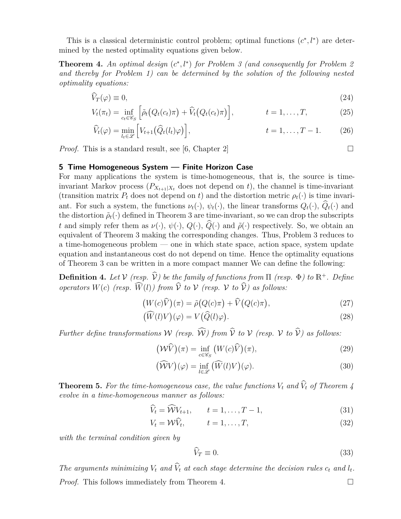This is a classical deterministic control problem; optimal functions  $(c^*, l^*)$  are determined by the nested optimality equations given below.

<span id="page-7-1"></span>**Theorem 4.** An optimal design  $(c^*, l^*)$  for Problem [3](#page-6-4) (and consequently for Problem [2](#page-4-2) *and thereby for Problem [1\)](#page-2-1) can be determined by the solution of the following nested optimality equations:*

$$
V_T(\varphi) \equiv 0,\tag{24}
$$

$$
V_t(\pi_t) = \inf_{c_t \in \mathscr{C}_S} \left[ \tilde{\rho}_t \big( Q_t(c_t) \pi \big) + \tilde{V}_t \big( Q_t(c_t) \pi \big) \right], \qquad t = 1, \dots, T,
$$
\n(25)

$$
\widehat{V}_t(\varphi) = \min_{l_t \in \mathscr{L}} \left[ V_{t+1}(\widehat{Q}_t(l_t)\varphi) \right], \qquad t = 1, \dots, T-1.
$$
 (26)

*Proof.* This is a standard result, see [\[6,](#page-9-12) Chapter 2]  $\Box$ 

<span id="page-7-0"></span>**5 Time Homogeneous System — Finite Horizon Case**

For many applications the system is time-homogeneous, that is, the source is timeinvariant Markov process  $(P_{X_{t+1}|X_t}$  does not depend on t), the channel is time-invariant (transition matrix  $P_t$  does not depend on t) and the distortion metric  $\rho_t(\cdot)$  is time invariant. For such a system, the functions  $\nu_t(\cdot)$ ,  $\psi_t(\cdot)$ , the linear transforms  $Q_t(\cdot)$ ,  $\widehat{Q}_t(\cdot)$  and the distortion  $\tilde{\rho}_t(\cdot)$  defined in Theorem [3](#page-5-1) are time-invariant, so we can drop the subscripts t and simply refer them as  $\nu(\cdot)$ ,  $\psi(\cdot)$ ,  $Q(\cdot)$ ,  $\widehat{Q}(\cdot)$  and  $\widetilde{\rho}(\cdot)$  respectively. So, we obtain an equivalent of Theorem [3](#page-5-1) making the corresponding changes. Thus, Problem [3](#page-6-4) reduces to a time-homogeneous problem — one in which state space, action space, system update equation and instantaneous cost do not depend on time. Hence the optimality equations of Theorem [3](#page-5-1) can be written in a more compact manner We can define the following:

<span id="page-7-2"></span>**Definition 4.** Let  $V$  *(resp.*  $\hat{V}$ *)* be the family of functions from  $\Pi$  *(resp.*  $\Phi$ *)* to  $\mathbb{R}^+$ *. Define operators*  $W(c)$  (resp.  $\widehat{W}(l)$ ) from  $\widehat{V}$  to  $V$  (resp.  $V$  to  $\widehat{V}$ ) as follows:

$$
(W(c)\widehat{V})(\pi) = \widetilde{\rho}(Q(c)\pi) + \widehat{V}(Q(c)\pi), \qquad (27)
$$

$$
\left(\widehat{W}(l)V\right)(\varphi) = V\left(\widehat{Q}(l)\varphi\right). \tag{28}
$$

*Further define transformations* W (resp.  $\widehat{\mathcal{W}}$ ) from  $\widehat{\mathcal{V}}$  *to*  $\mathcal{V}$  (resp.  $\mathcal{V}$  *to*  $\widehat{\mathcal{V}}$ ) as follows:

$$
\left(\mathcal{W}\widehat{V}\right)(\pi) = \inf_{c \in \mathscr{C}_S} \left(W(c)\widehat{V}\right)(\pi),\tag{29}
$$

$$
\left(\widehat{\mathcal{W}}V\right)(\varphi) = \inf_{l \in \mathcal{L}} \left(\widehat{W}(l)V\right)(\varphi). \tag{30}
$$

**Theorem 5.** For the time-homogeneous case, the value functions  $V_t$  and  $\widehat{V}_t$  of Theorem [4](#page-7-1) *evolve in a time-homogeneous manner as follows:*

$$
\widehat{V}_t = \widehat{\mathcal{W}} V_{t+1}, \qquad t = 1, \dots, T-1,\tag{31}
$$

$$
V_t = \mathcal{W}\hat{V}_t, \qquad t = 1, \dots, T,
$$
\n(32)

*with the terminal condition given by*

$$
\widehat{V}_T \equiv 0. \tag{33}
$$

The arguments minimizing  $V_t$  and  $V_t$  at each stage determine the decision rules  $c_t$  and  $l_t$ . *Proof.* This follows immediately from Theorem [4.](#page-7-1) □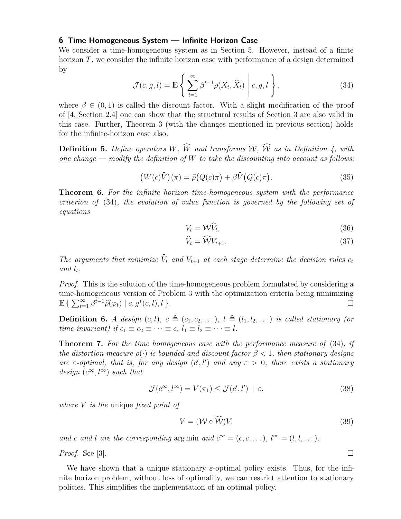#### <span id="page-8-0"></span>**6 Time Homogeneous System — Infinite Horizon Case**

<span id="page-8-1"></span>We consider a time-homogeneous system as in Section [5.](#page-7-0) However, instead of a finite horizon  $T$ , we consider the infinite horizon case with performance of a design determined by

$$
\mathcal{J}(c, g, l) = \mathbb{E}\left\{\left.\sum_{t=1}^{\infty} \beta^{t-1} \rho(X_t, \widehat{X}_t)\right| c, g, l\right\},\tag{34}
$$

where  $\beta \in (0,1)$  is called the discount factor. With a slight modification of the proof of [\[4,](#page-9-1) Section 2.4] one can show that the structural results of Section [3](#page-3-0) are also valid in this case. Further, Theorem [3](#page-5-1) (with the changes mentioned in previous section) holds for the infinite-horizon case also.

**Definition 5.** Define operators W,  $\widehat{W}$  and transforms W,  $\widehat{W}$  as in Definition [4,](#page-7-2) with *one change — modify the definition of* W *to take the discounting into account as follows:*

$$
(W(c)\widehat{V})(\pi) = \tilde{\rho}(Q(c)\pi) + \beta \widehat{V}(Q(c)\pi).
$$
\n(35)

**Theorem 6.** *For the infinite horizon time-homogeneous system with the performance criterion of* [\(34\)](#page-8-1)*, the evolution of value function is governed by the following set of equations*

$$
V_t = \mathcal{W}\hat{V}_t,\tag{36}
$$

$$
\hat{V}_t = \hat{\mathcal{W}} V_{t+1}.\tag{37}
$$

*The arguments that minimize*  $\widehat{V}_t$  *and*  $V_{t+1}$  *at each stage determine the decision rules*  $c_t$ and  $l_t$ .

*Proof.* This is the solution of the time-homogeneous problem formulated by considering a time-homogeneous version of Problem [3](#page-6-4) with the optimization criteria being minimizing  $\mathbb{E}\left\{\sum_{t=1}^{\infty}\beta^{\overline{t}-1}\tilde{\rho}(\varphi_t)\mid c,g^*(c,l),l\right\}.$ 

**Definition 6.** *A design*  $(c, l)$ *,*  $c \triangleq (c_1, c_2, \ldots)$ *,*  $l \triangleq (l_1, l_2, \ldots)$  *is called stationary (or time-invariant)* if  $c_1 \equiv c_2 \equiv \cdots \equiv c, l_1 \equiv l_2 \equiv \cdots \equiv l$ .

**Theorem 7.** *For the time homogeneous case with the performance measure of* [\(34\)](#page-8-1)*, if the distortion measure*  $\rho(\cdot)$  *is bounded and discount factor*  $\beta < 1$ *, then stationary designs* are  $\varepsilon$ -optimal, that is, for any design  $(c', l')$  and any  $\varepsilon > 0$ , there exists a stationary *design*  $(c^{\infty}, l^{\infty})$  *such that* 

$$
\mathcal{J}(c^{\infty}, l^{\infty}) = V(\pi_1) \le \mathcal{J}(c', l') + \varepsilon,
$$
\n(38)

*where* V *is the* unique *fixed point of*

$$
V = (\mathcal{W} \circ \mathcal{W})V,\tag{39}
$$

*and* c and l are the corresponding arg min and  $c^{\infty} = (c, c, \dots), l^{\infty} = (l, l, \dots)$ *.* 

*Proof.* See [\[3\]](#page-9-2).

We have shown that a unique stationary  $\varepsilon$ -optimal policy exists. Thus, for the infinite horizon problem, without loss of optimality, we can restrict attention to stationary policies. This simplifies the implementation of an optimal policy.